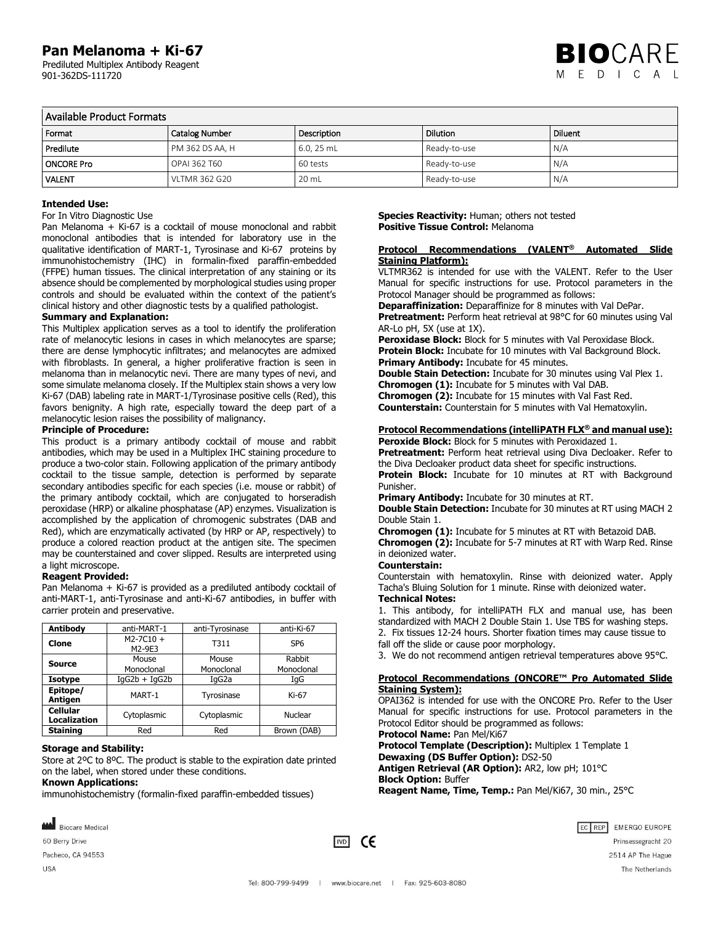## **Pan Melanoma + Ki-67**

 Prediluted Multiplex Antibody Reagent 901-362DS-111720



### Available Product Formats

| Format            | <b>Catalog Number</b>  | Description  | Dilution     | Diluent |  |
|-------------------|------------------------|--------------|--------------|---------|--|
| Predilute         | <b>PM 362 DS AA, H</b> | $6.0, 25$ mL | Ready-to-use | N/A     |  |
| <b>ONCORE Pro</b> | <b>OPAI 362 T60</b>    | 60 tests     | Ready-to-use | N/A     |  |
| <b>VALENT</b>     | <b>VLTMR 362 G20</b>   | 20 mL        | Ready-to-use | N/A     |  |

### **Intended Use:**

### For In Vitro Diagnostic Use

Pan Melanoma + Ki-67 is a cocktail of mouse monoclonal and rabbit monoclonal antibodies that is intended for laboratory use in the qualitative identification of MART-1, Tyrosinase and Ki-67 proteins by immunohistochemistry (IHC) in formalin-fixed paraffin-embedded (FFPE) human tissues. The clinical interpretation of any staining or its absence should be complemented by morphological studies using proper controls and should be evaluated within the context of the patient's clinical history and other diagnostic tests by a qualified pathologist.

#### **Summary and Explanation:**

This Multiplex application serves as a tool to identify the proliferation rate of melanocytic lesions in cases in which melanocytes are sparse; there are dense lymphocytic infiltrates; and melanocytes are admixed with fibroblasts. In general, a higher proliferative fraction is seen in melanoma than in melanocytic nevi. There are many types of nevi, and some simulate melanoma closely. If the Multiplex stain shows a very low Ki-67 (DAB) labeling rate in MART-1/Tyrosinase positive cells (Red), this favors benignity. A high rate, especially toward the deep part of a melanocytic lesion raises the possibility of malignancy.

### **Principle of Procedure:**

This product is a primary antibody cocktail of mouse and rabbit antibodies, which may be used in a Multiplex IHC staining procedure to produce a two-color stain. Following application of the primary antibody cocktail to the tissue sample, detection is performed by separate secondary antibodies specific for each species (i.e. mouse or rabbit) of the primary antibody cocktail, which are conjugated to horseradish peroxidase (HRP) or alkaline phosphatase (AP) enzymes. Visualization is accomplished by the application of chromogenic substrates (DAB and Red), which are enzymatically activated (by HRP or AP, respectively) to produce a colored reaction product at the antigen site. The specimen may be counterstained and cover slipped. Results are interpreted using a light microscope.

### **Reagent Provided:**

Pan Melanoma + Ki-67 is provided as a prediluted antibody cocktail of anti-MART-1, anti-Tyrosinase and anti-Ki-67 antibodies, in buffer with carrier protein and preservative.

| Antibody                               | anti-MART-1             | anti-Tyrosinase     | anti-Ki-67           |
|----------------------------------------|-------------------------|---------------------|----------------------|
| Clone                                  | $M2 - 7C10 +$<br>M2-9E3 | T311                | SP <sub>6</sub>      |
| <b>Source</b>                          | Mouse<br>Monoclonal     | Mouse<br>Monoclonal | Rabbit<br>Monoclonal |
| Isotype                                | $IqG2b + IqG2b$         | IgG <sub>2</sub> a  | IqG                  |
| Epitope/<br>Antigen                    | MART-1                  | Tyrosinase          | Ki-67                |
| <b>Cellular</b><br><b>Localization</b> | Cytoplasmic             | Cytoplasmic         | Nuclear              |
| <b>Staining</b>                        | Red                     | Red                 | Brown (DAB)          |

### **Storage and Stability:**

Store at 2ºC to 8ºC. The product is stable to the expiration date printed on the label, when stored under these conditions.

### **Known Applications:**

immunohistochemistry (formalin-fixed paraffin-embedded tissues)

**Species Reactivity:** Human; others not tested **Positive Tissue Control:** Melanoma

### **Protocol Recommendations (VALENT® Automated Slide Staining Platform):**

VLTMR362 is intended for use with the VALENT. Refer to the User Manual for specific instructions for use. Protocol parameters in the Protocol Manager should be programmed as follows:

**Deparaffinization:** Deparaffinize for 8 minutes with Val DePar.

**Pretreatment:** Perform heat retrieval at 98°C for 60 minutes using Val AR-Lo pH, 5X (use at 1X).

Peroxidase Block: Block for 5 minutes with Val Peroxidase Block. **Protein Block:** Incubate for 10 minutes with Val Background Block. **Primary Antibody:** Incubate for 45 minutes.

**Double Stain Detection:** Incubate for 30 minutes using Val Plex 1. **Chromogen (1):** Incubate for 5 minutes with Val DAB.

**Chromogen (2):** Incubate for 15 minutes with Val Fast Red.

**Counterstain:** Counterstain for 5 minutes with Val Hematoxylin.

### **Protocol Recommendations (intelliPATH FLX® and manual use):**

**Peroxide Block:** Block for 5 minutes with Peroxidazed 1. Pretreatment: Perform heat retrieval using Diva Decloaker. Refer to the Diva Decloaker product data sheet for specific instructions.

**Protein Block:** Incubate for 10 minutes at RT with Background Punisher.

**Primary Antibody:** Incubate for 30 minutes at RT.

**Double Stain Detection:** Incubate for 30 minutes at RT using MACH 2 Double Stain 1.

**Chromogen (1):** Incubate for 5 minutes at RT with Betazoid DAB. **Chromogen (2):** Incubate for 5-7 minutes at RT with Warp Red. Rinse in deionized water.

#### **Counterstain:**

Counterstain with hematoxylin. Rinse with deionized water. Apply Tacha's Bluing Solution for 1 minute. Rinse with deionized water. **Technical Notes:**

1. This antibody, for intelliPATH FLX and manual use, has been standardized with MACH 2 Double Stain 1. Use TBS for washing steps. 2. Fix tissues 12-24 hours. Shorter fixation times may cause tissue to

fall off the slide or cause poor morphology.

3. We do not recommend antigen retrieval temperatures above 95°C.

### **Protocol Recommendations (ONCORE™ Pro Automated Slide Staining System):**

OPAI362 is intended for use with the ONCORE Pro. Refer to the User Manual for specific instructions for use. Protocol parameters in the Protocol Editor should be programmed as follows:

**Protocol Name:** Pan Mel/Ki67

**Protocol Template (Description):** Multiplex 1 Template 1 **Dewaxing (DS Buffer Option):** DS2-50 **Antigen Retrieval (AR Option):** AR2, low pH; 101°C **Block Option:** Buffer

**Reagent Name, Time, Temp.:** Pan Mel/Ki67, 30 min., 25°C



Pacheco, CA 94553

60 Berry Drive

**MA** Biocare Medical

 $\overline{1}$   $\overline{1}$   $\overline{1}$   $\overline{1}$   $\overline{1}$   $\overline{1}$   $\overline{1}$   $\overline{1}$   $\overline{1}$   $\overline{1}$   $\overline{1}$   $\overline{1}$   $\overline{1}$   $\overline{1}$   $\overline{1}$   $\overline{1}$   $\overline{1}$   $\overline{1}$   $\overline{1}$   $\overline{1}$   $\overline{1}$   $\overline{1}$   $\overline{1}$   $\overline{1}$   $\overline{$